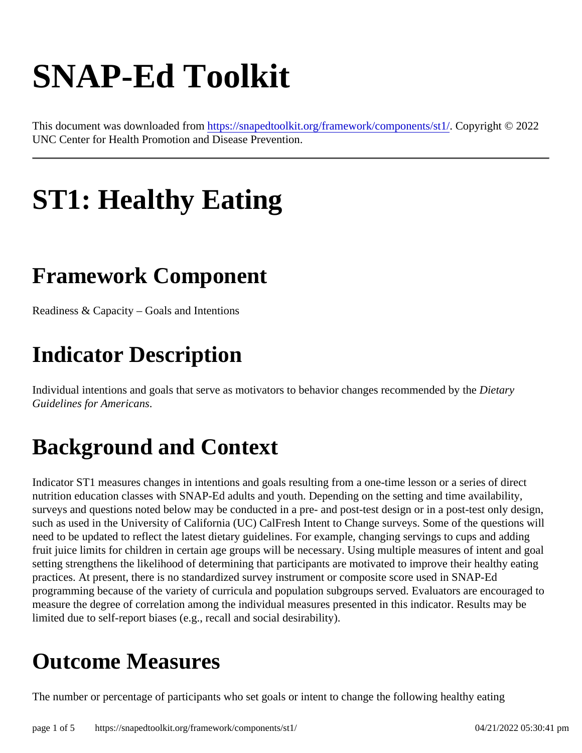# SNAP-Ed Toolkit

This document was downloaded fr[om https://snapedtoolkit.org/framework/components](https://snapedtoolkit.org/framework/components/st1/)/stbot pyright © 2022 UNC Center for Health Promotion and Disease Prevention.

## ST1: Healthy Eating

#### Framework Component

Readiness & Capacity – Goals and Intentions

#### Indicator Description

Individual intentions and goals that serve as motivators to behavior changes recommended digithe Guidelines for Americans.

#### Background and Context

Indicator ST1 measures changes in intentions and goals resulting from a one-time lesson or a series of direct nutrition education classes with SNAP-Ed adults and youth. Depending on the setting and time availability, surveys and questions noted below may be conducted in a pre- and post-test design or in a post-test only dest such as used in the University of California (UC) CalFresh Intent to Change surveys. Some of the questions will need to be updated to reflect the latest dietary guidelines. For example, changing servings to cups and adding fruit juice limits for children in certain age groups will be necessary. Using multiple measures of intent and goa setting strengthens the likelihood of determining that participants are motivated to improve their healthy eating practices. At present, there is no standardized survey instrument or composite score used in SNAP-Ed programming because of the variety of curricula and population subgroups served. Evaluators are encourage measure the degree of correlation among the individual measures presented in this indicator. Results may be limited due to self-report biases (e.g., recall and social desirability).

#### Outcome Measures

The number or percentage of participants who set goals or intent to change the following healthy eating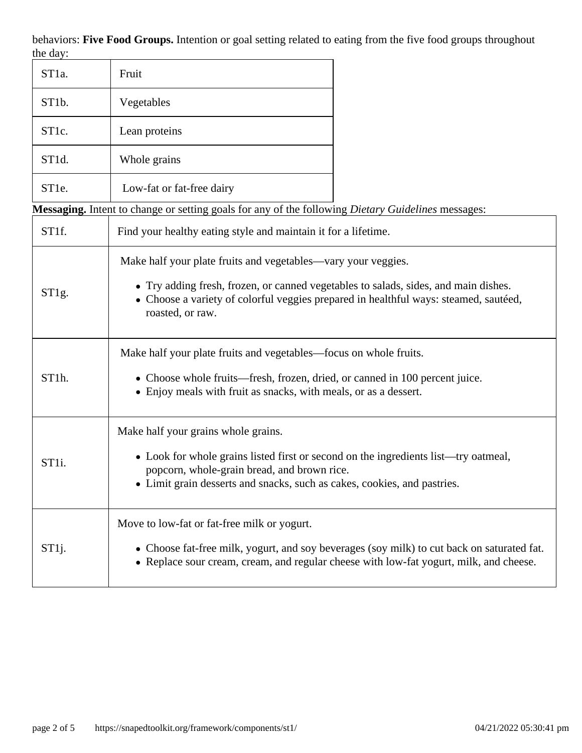behaviors: **Five Food Groups.** Intention or goal setting related to eating from the five food groups throughout the day:

| ST <sub>1</sub> a.                                                                                               | Fruit                                                                                                                                                                                                                                                            |                                                                                                                                                                                      |  |  |
|------------------------------------------------------------------------------------------------------------------|------------------------------------------------------------------------------------------------------------------------------------------------------------------------------------------------------------------------------------------------------------------|--------------------------------------------------------------------------------------------------------------------------------------------------------------------------------------|--|--|
| ST <sub>1</sub> b.                                                                                               | Vegetables                                                                                                                                                                                                                                                       |                                                                                                                                                                                      |  |  |
| ST <sub>1c</sub> .                                                                                               | Lean proteins                                                                                                                                                                                                                                                    |                                                                                                                                                                                      |  |  |
| ST1d.                                                                                                            | Whole grains                                                                                                                                                                                                                                                     |                                                                                                                                                                                      |  |  |
| ST <sub>1e</sub> .                                                                                               | Low-fat or fat-free dairy                                                                                                                                                                                                                                        |                                                                                                                                                                                      |  |  |
| <b>Messaging.</b> Intent to change or setting goals for any of the following <i>Dietary Guidelines</i> messages: |                                                                                                                                                                                                                                                                  |                                                                                                                                                                                      |  |  |
| ST <sub>1f</sub> .                                                                                               | Find your healthy eating style and maintain it for a lifetime.                                                                                                                                                                                                   |                                                                                                                                                                                      |  |  |
| ST1g.                                                                                                            | Make half your plate fruits and vegetables—vary your veggies.<br>• Try adding fresh, frozen, or canned vegetables to salads, sides, and main dishes.<br>• Choose a variety of colorful veggies prepared in healthful ways: steamed, sautéed,<br>roasted, or raw. |                                                                                                                                                                                      |  |  |
| ST1h.                                                                                                            | Make half your plate fruits and vegetables—focus on whole fruits.<br>• Choose whole fruits—fresh, frozen, dried, or canned in 100 percent juice.<br>• Enjoy meals with fruit as snacks, with meals, or as a dessert.                                             |                                                                                                                                                                                      |  |  |
| ST <sub>1</sub> i.                                                                                               | Make half your grains whole grains.<br>• Look for whole grains listed first or second on the ingredients list—try oatmeal,<br>popcorn, whole-grain bread, and brown rice.<br>• Limit grain desserts and snacks, such as cakes, cookies, and pastries             |                                                                                                                                                                                      |  |  |
| ST1j.                                                                                                            | Move to low-fat or fat-free milk or yogurt.                                                                                                                                                                                                                      | • Choose fat-free milk, yogurt, and soy beverages (soy milk) to cut back on saturated fat.<br>• Replace sour cream, cream, and regular cheese with low-fat yogurt, milk, and cheese. |  |  |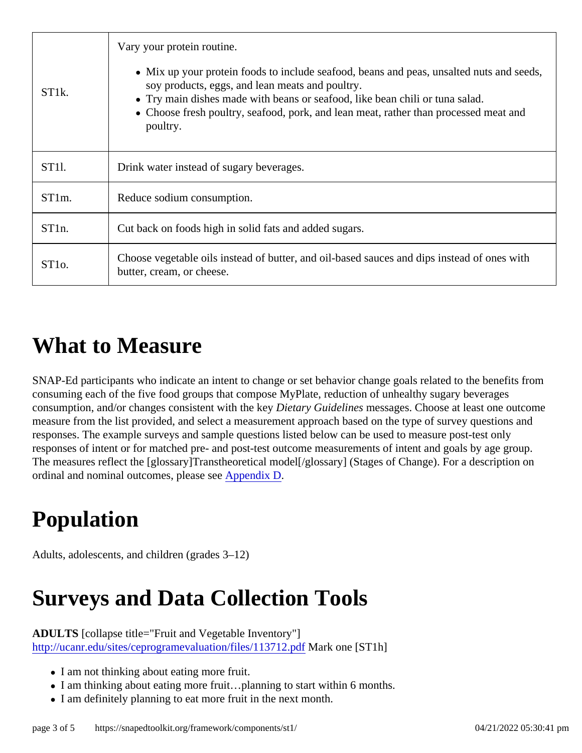|                    | Vary your protein routine.                                                                                                                                                                                                                                                                                                    |  |
|--------------------|-------------------------------------------------------------------------------------------------------------------------------------------------------------------------------------------------------------------------------------------------------------------------------------------------------------------------------|--|
| ST <sub>1</sub> k. | • Mix up your protein foods to include seafood, beans and peas, unsalted nuts and seed<br>soy products, eggs, and lean meats and poultry.<br>• Try main dishes made with beans or seafood, like bean chili or tuna salad.<br>• Choose fresh poultry, seafood, pork, and lean meat, rather than processed meat and<br>poultry. |  |
| ST <sub>1</sub> I. | Drink water instead of sugary beverages.                                                                                                                                                                                                                                                                                      |  |
| ST <sub>1</sub> m. | Reduce sodium consumption.                                                                                                                                                                                                                                                                                                    |  |
| ST <sub>1n</sub>   | Cut back on foods high in solid fats and added sugars.                                                                                                                                                                                                                                                                        |  |
| ST <sub>10</sub> . | Choose vegetable oils instead of butter, and oil-based sauces and dips instead of ones with<br>butter, cream, or cheese.                                                                                                                                                                                                      |  |

#### What to Measure

SNAP-Ed participants who indicate an intent to change or set behavior change goals related to the benefits from consuming each of the five food groups that compose MyPlate, reduction of unhealthy sugary beverages consumption, and/or changes consistent with the Litetary Guidelines messages. Choose at least one outcome measure from the list provided, and select a measurement approach based on the type of survey questions a responses. The example surveys and sample questions listed below can be used to measure post-test only responses of intent or for matched pre- and post-test outcome measurements of intent and goals by age group. The measures reflect the [glossary]Transtheoretical model[/glossary] (Stages of Change). For a description on ordinal and nominal outcomes, please **speendix D** 

### Population

Adults, adolescents, and children (grades 3–12)

### Surveys and Data Collection Tools

ADULTS [collapse title="Fruit and Vegetable Inventory"] [http://ucanr.edu/sites/ceprogramevaluation/files/11371](http://ucanr.edu/sites/ceprogramevaluation/files/113712.pdf)2Mark one [ST1h]

- I am not thinking about eating more fruit.
- I am thinking about eating more fruit...planning to start within 6 months.
- I am definitely planning to eat more fruit in the next month.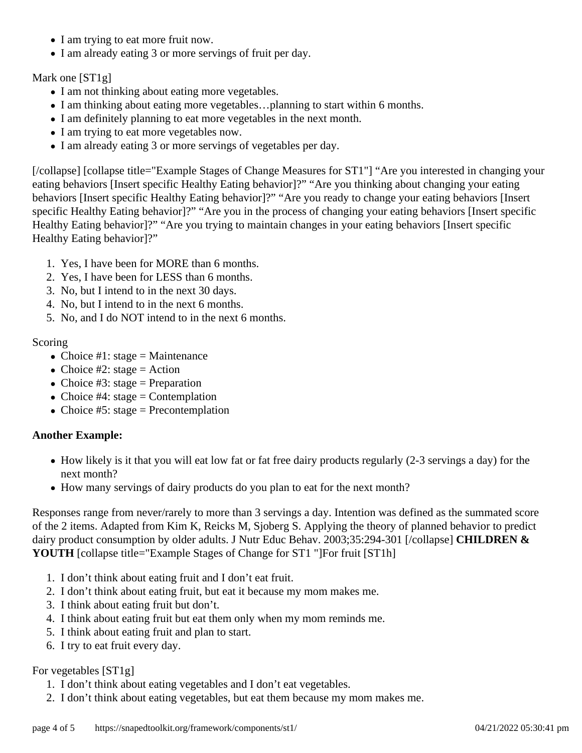- I am trying to eat more fruit now.
- I am already eating 3 or more servings of fruit per day.

#### Mark one [ST1g]

- I am not thinking about eating more vegetables.
- I am thinking about eating more vegetables...planning to start within 6 months.
- I am definitely planning to eat more vegetables in the next month.
- I am trying to eat more vegetables now.
- I am already eating 3 or more servings of vegetables per day.

[/collapse] [collapse title="Example Stages of Change Measures for ST1"] "Are you interested in changing your eating behaviors [Insert specific Healthy Eating behavior]?" "Are you thinking about changing your eating behaviors [Insert specific Healthy Eating behavior]?" "Are you ready to change your eating behaviors [Insert specific Healthy Eating behavior]?" "Are you in the process of changing your eating behaviors [Insert specific Healthy Eating behavior]?" "Are you trying to maintain changes in your eating behaviors [Insert specific Healthy Eating behavior]?"

- 1. Yes, I have been for MORE than 6 months.
- 2. Yes, I have been for LESS than 6 months.
- 3. No, but I intend to in the next 30 days.
- 4. No, but I intend to in the next 6 months.
- 5. No, and I do NOT intend to in the next 6 months.

#### Scoring

- Choice #1: stage = Maintenance
- Choice #2: stage = Action
- Choice #3: stage = Preparation
- Choice #4: stage = Contemplation
- Choice #5: stage = Precontemplation

#### **Another Example:**

- How likely is it that you will eat low fat or fat free dairy products regularly (2-3 servings a day) for the next month?
- How many servings of dairy products do you plan to eat for the next month?

Responses range from never/rarely to more than 3 servings a day. Intention was defined as the summated score of the 2 items. Adapted from Kim K, Reicks M, Sjoberg S. Applying the theory of planned behavior to predict dairy product consumption by older adults. J Nutr Educ Behav. 2003;35:294-301 [/collapse] **CHILDREN & YOUTH** [collapse title="Example Stages of Change for ST1 "]For fruit [ST1h]

- 1. I don't think about eating fruit and I don't eat fruit.
- 2. I don't think about eating fruit, but eat it because my mom makes me.
- 3. I think about eating fruit but don't.
- 4. I think about eating fruit but eat them only when my mom reminds me.
- 5. I think about eating fruit and plan to start.
- 6. I try to eat fruit every day.

#### For vegetables [ST1g]

- 1. I don't think about eating vegetables and I don't eat vegetables.
- 2. I don't think about eating vegetables, but eat them because my mom makes me.